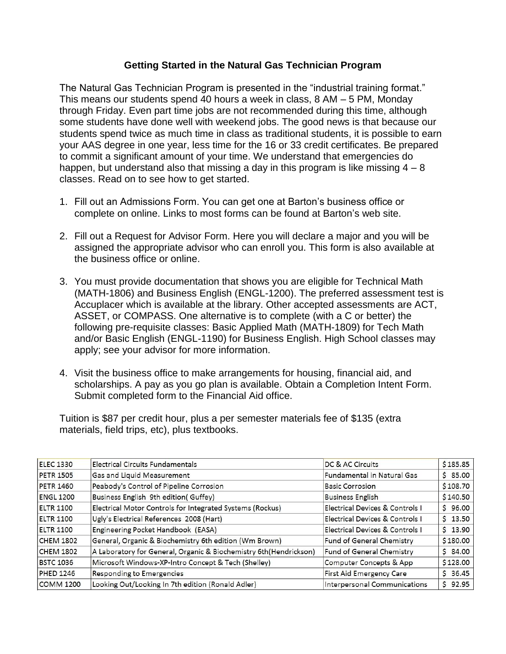# **Getting Started in the Natural Gas Technician Program**

The Natural Gas Technician Program is presented in the "industrial training format." This means our students spend 40 hours a week in class, 8 AM – 5 PM, Monday through Friday. Even part time jobs are not recommended during this time, although some students have done well with weekend jobs. The good news is that because our students spend twice as much time in class as traditional students, it is possible to earn your AAS degree in one year, less time for the 16 or 33 credit certificates. Be prepared to commit a significant amount of your time. We understand that emergencies do happen, but understand also that missing a day in this program is like missing  $4 - 8$ classes. Read on to see how to get started.

- 1. Fill out an Admissions Form. You can get one at Barton's business office or complete on online. Links to most forms can be found at Barton's web site.
- 2. Fill out a Request for Advisor Form. Here you will declare a major and you will be assigned the appropriate advisor who can enroll you. This form is also available at the business office or online.
- 3. You must provide documentation that shows you are eligible for Technical Math (MATH-1806) and Business English (ENGL-1200). The preferred assessment test is Accuplacer which is available at the library. Other accepted assessments are ACT, ASSET, or COMPASS. One alternative is to complete (with a C or better) the following pre-requisite classes: Basic Applied Math (MATH-1809) for Tech Math and/or Basic English (ENGL-1190) for Business English. High School classes may apply; see your advisor for more information.
- 4. Visit the business office to make arrangements for housing, financial aid, and scholarships. A pay as you go plan is available. Obtain a Completion Intent Form. Submit completed form to the Financial Aid office.

Tuition is \$87 per credit hour, plus a per semester materials fee of \$135 (extra materials, field trips, etc), plus textbooks.

| <b>ELEC 1330</b> | <b>Electrical Circuits Fundamentals</b>                            | DC & AC Circuits                  | \$185.85    |
|------------------|--------------------------------------------------------------------|-----------------------------------|-------------|
| <b>PETR 1505</b> | Gas and Liquid Measurement                                         | <b>Fundamental in Natural Gas</b> | \$85.00     |
| <b>PETR 1460</b> | Peabody's Control of Pipeline Corrosion                            | <b>Basic Corrosion</b>            | \$108.70    |
| <b>ENGL 1200</b> | Business English 9th edition(Guffey)                               | <b>Business English</b>           | \$140.50    |
| <b>ELTR 1100</b> | Electrical Motor Controls for Integrated Systems (Rockus)          | Electrical Devices & Controls I   | \$96.00     |
| <b>ELTR 1100</b> | Ugly's Electrical References 2008 (Hart)                           | Electrical Devices & Controls I   | $5 \t13.50$ |
| <b>ELTR 1100</b> | Engineering Pocket Handbook (EASA)                                 | Electrical Devices & Controls I   | \$13.90     |
| <b>CHEM 1802</b> | General, Organic & Biochemistry 6th edition (Wm Brown)             | Fund of General Chemistry         | \$180.00    |
| <b>CHEM 1802</b> | A Laboratory for General, Organic & Biochemistry 6th (Hendrickson) | Fund of General Chemistry         | \$84.00     |
| <b>BSTC 1036</b> | Microsoft Windows-XP-Intro Concept & Tech (Shelley)                | Computer Concepts & App           | \$128.00    |
| <b>PHED 1246</b> | Responding to Emergencies                                          | <b>First Aid Emergency Care</b>   | \$36.45     |
| <b>COMM 1200</b> | Looking Out/Looking In 7th edition (Ronald Adler)                  | Interpersonal Communications      | \$92.95     |